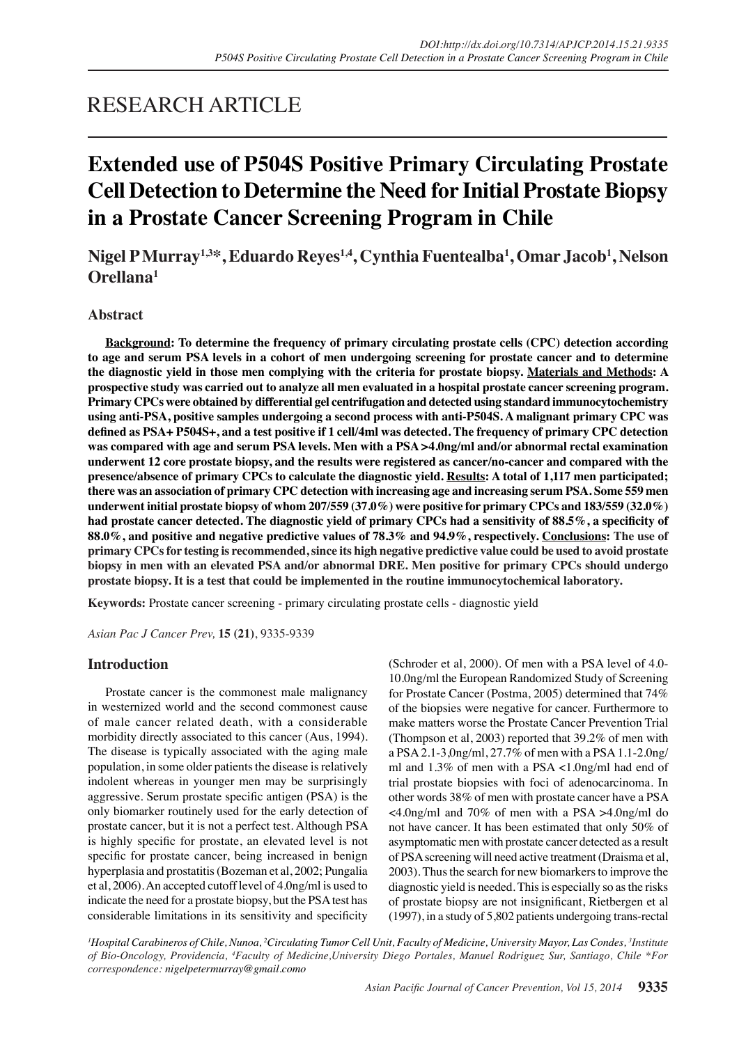## RESEARCH ARTICLE

# **Extended use of P504S Positive Primary Circulating Prostate Cell Detection to Determine the Need for Initial Prostate Biopsy in a Prostate Cancer Screening Program in Chile**

**Nigel P Murray1,3\*, Eduardo Reyes1,4, Cynthia Fuentealba1 , Omar Jacob1 , Nelson Orellana1**

## **Abstract**

**Background: To determine the frequency of primary circulating prostate cells (CPC) detection according to age and serum PSA levels in a cohort of men undergoing screening for prostate cancer and to determine the diagnostic yield in those men complying with the criteria for prostate biopsy. Materials and Methods: A prospective study was carried out to analyze all men evaluated in a hospital prostate cancer screening program. Primary CPCs were obtained by differential gel centrifugation and detected using standard immunocytochemistry using anti-PSA, positive samples undergoing a second process with anti-P504S. A malignant primary CPC was defined as PSA+ P504S+, and a test positive if 1 cell/4ml was detected. The frequency of primary CPC detection was compared with age and serum PSA levels. Men with a PSA >4.0ng/ml and/or abnormal rectal examination underwent 12 core prostate biopsy, and the results were registered as cancer/no-cancer and compared with the presence/absence of primary CPCs to calculate the diagnostic yield. Results: A total of 1,117 men participated; there was an association of primary CPC detection with increasing age and increasing serum PSA. Some 559 men underwent initial prostate biopsy of whom 207/559 (37.0%) were positive for primary CPCs and 183/559 (32.0%)**  had prostate cancer detected. The diagnostic yield of primary CPCs had a sensitivity of 88.5%, a specificity of **88.0%, and positive and negative predictive values of 78.3% and 94.9%, respectively. Conclusions: The use of primary CPCs for testing is recommended, since its high negative predictive value could be used to avoid prostate biopsy in men with an elevated PSA and/or abnormal DRE. Men positive for primary CPCs should undergo prostate biopsy. It is a test that could be implemented in the routine immunocytochemical laboratory.**

**Keywords:** Prostate cancer screening - primary circulating prostate cells - diagnostic yield

*Asian Pac J Cancer Prev,* **15 (21)**, 9335-9339

## **Introduction**

Prostate cancer is the commonest male malignancy in westernized world and the second commonest cause of male cancer related death, with a considerable morbidity directly associated to this cancer (Aus, 1994). The disease is typically associated with the aging male population, in some older patients the disease is relatively indolent whereas in younger men may be surprisingly aggressive. Serum prostate specific antigen (PSA) is the only biomarker routinely used for the early detection of prostate cancer, but it is not a perfect test. Although PSA is highly specific for prostate, an elevated level is not specific for prostate cancer, being increased in benign hyperplasia and prostatitis (Bozeman et al, 2002; Pungalia et al, 2006). An accepted cutoff level of 4.0ng/ml is used to indicate the need for a prostate biopsy, but the PSA test has considerable limitations in its sensitivity and specificity

(Schroder et al, 2000). Of men with a PSA level of 4.0- 10.0ng/ml the European Randomized Study of Screening for Prostate Cancer (Postma, 2005) determined that 74% of the biopsies were negative for cancer. Furthermore to make matters worse the Prostate Cancer Prevention Trial (Thompson et al, 2003) reported that 39.2% of men with a PSA 2.1-3,0ng/ml, 27.7% of men with a PSA 1.1-2.0ng/ ml and 1.3% of men with a PSA <1.0ng/ml had end of trial prostate biopsies with foci of adenocarcinoma. In other words 38% of men with prostate cancer have a PSA <4.0ng/ml and 70% of men with a PSA >4.0ng/ml do not have cancer. It has been estimated that only 50% of asymptomatic men with prostate cancer detected as a result of PSA screening will need active treatment (Draisma et al, 2003). Thus the search for new biomarkers to improve the diagnostic yield is needed. This is especially so as the risks of prostate biopsy are not insignificant, Rietbergen et al (1997), in a study of 5,802 patients undergoing trans-rectal

*1 Hospital Carabineros of Chile, Nunoa, 2 Circulating Tumor Cell Unit, Faculty of Medicine, University Mayor, Las Condes, 3 Institute of Bio-Oncology, Providencia, 4 Faculty of Medicine,University Diego Portales, Manuel Rodriguez Sur, Santiago, Chile \*For correspondence: nigelpetermurray@gmail.como*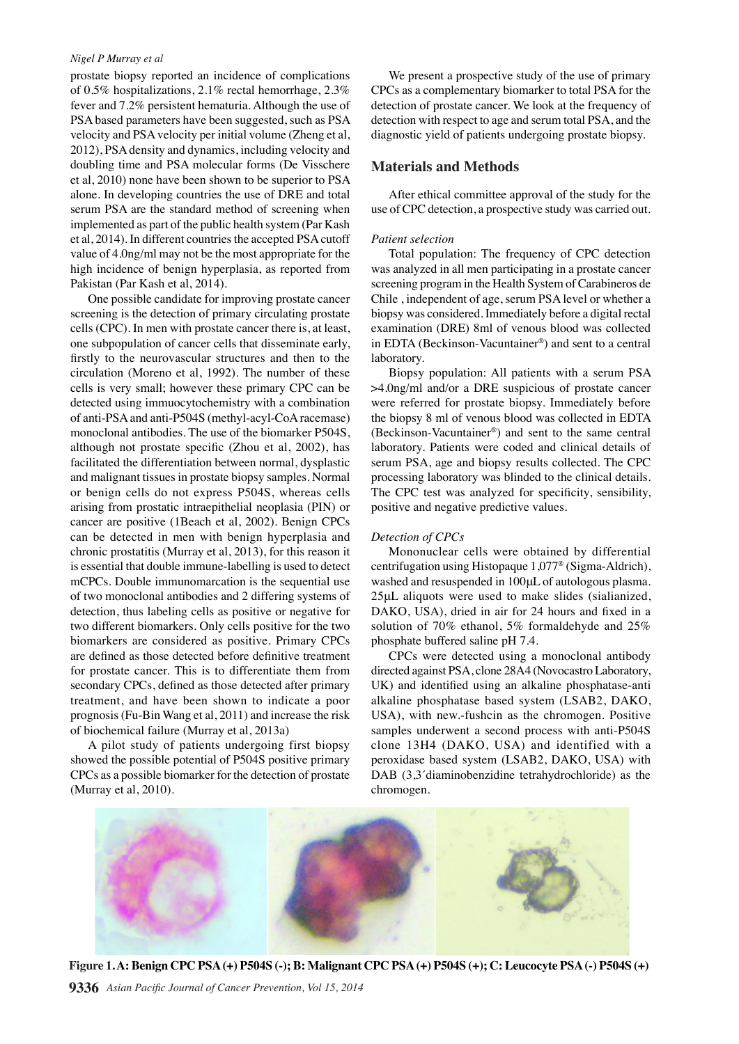#### *Nigel P Murray et al*

prostate biopsy reported an incidence of complications of 0.5% hospitalizations, 2.1% rectal hemorrhage, 2.3% fever and 7.2% persistent hematuria. Although the use of PSA based parameters have been suggested, such as PSA velocity and PSA velocity per initial volume (Zheng et al, 2012), PSA density and dynamics, including velocity and doubling time and PSA molecular forms (De Visschere et al, 2010) none have been shown to be superior to PSA alone. In developing countries the use of DRE and total serum PSA are the standard method of screening when implemented as part of the public health system (Par Kash et al, 2014). In different countries the accepted PSA cutoff value of 4.0ng/ml may not be the most appropriate for the high incidence of benign hyperplasia, as reported from Pakistan (Par Kash et al, 2014).

One possible candidate for improving prostate cancer screening is the detection of primary circulating prostate cells (CPC). In men with prostate cancer there is, at least, one subpopulation of cancer cells that disseminate early, firstly to the neurovascular structures and then to the circulation (Moreno et al, 1992). The number of these cells is very small; however these primary CPC can be detected using immuocytochemistry with a combination of anti-PSA and anti-P504S (methyl-acyl-CoA racemase) monoclonal antibodies. The use of the biomarker P504S, although not prostate specific (Zhou et al, 2002), has facilitated the differentiation between normal, dysplastic and malignant tissues in prostate biopsy samples. Normal or benign cells do not express P504S, whereas cells arising from prostatic intraepithelial neoplasia (PIN) or cancer are positive (1Beach et al, 2002). Benign CPCs can be detected in men with benign hyperplasia and chronic prostatitis (Murray et al, 2013), for this reason it is essential that double immune-labelling is used to detect mCPCs. Double immunomarcation is the sequential use of two monoclonal antibodies and 2 differing systems of detection, thus labeling cells as positive or negative for two different biomarkers. Only cells positive for the two biomarkers are considered as positive. Primary CPCs are defined as those detected before definitive treatment for prostate cancer. This is to differentiate them from secondary CPCs, defined as those detected after primary treatment, and have been shown to indicate a poor prognosis (Fu-Bin Wang et al, 2011) and increase the risk of biochemical failure (Murray et al, 2013a)

A pilot study of patients undergoing first biopsy showed the possible potential of P504S positive primary CPCs as a possible biomarker for the detection of prostate (Murray et al, 2010).

We present a prospective study of the use of primary CPCs as a complementary biomarker to total PSA for the detection of prostate cancer. We look at the frequency of detection with respect to age and serum total PSA, and the diagnostic yield of patients undergoing prostate biopsy.

## **Materials and Methods**

After ethical committee approval of the study for the use of CPC detection, a prospective study was carried out.

#### *Patient selection*

Total population: The frequency of CPC detection was analyzed in all men participating in a prostate cancer screening program in the Health System of Carabineros de Chile , independent of age, serum PSA level or whether a biopsy was considered. Immediately before a digital rectal examination (DRE) 8ml of venous blood was collected in EDTA (Beckinson-Vacuntainer®) and sent to a central laboratory.

Biopsy population: All patients with a serum PSA >4.0ng/ml and/or a DRE suspicious of prostate cancer were referred for prostate biopsy. Immediately before the biopsy 8 ml of venous blood was collected in EDTA (Beckinson-Vacuntainer®) and sent to the same central laboratory. Patients were coded and clinical details of serum PSA, age and biopsy results collected. The CPC processing laboratory was blinded to the clinical details. The CPC test was analyzed for specificity, sensibility, positive and negative predictive values.

#### *Detection of CPCs*

Mononuclear cells were obtained by differential centrifugation using Histopaque 1,077® (Sigma-Aldrich), washed and resuspended in 100μL of autologous plasma. 25μL aliquots were used to make slides (sialianized, DAKO, USA), dried in air for 24 hours and fixed in a solution of 70% ethanol, 5% formaldehyde and 25% phosphate buffered saline pH 7.4.

CPCs were detected using a monoclonal antibody directed against PSA, clone 28A4 (Novocastro Laboratory, UK) and identified using an alkaline phosphatase-anti alkaline phosphatase based system (LSAB2, DAKO, USA), with new.-fushcin as the chromogen. Positive samples underwent a second process with anti-P504S clone 13H4 (DAKO, USA) and identified with a peroxidase based system (LSAB2, DAKO, USA) with DAB (3,3<sup> $\dot{\text{d}}$ </sup>diaminobenzidine tetrahydrochloride) as the chromogen.



**Figure 1. A: Benign CPC PSA (+) P504S (-); B: Malignant CPC PSA (+) P504S (+); C: Leucocyte PSA (-) P504S (+)**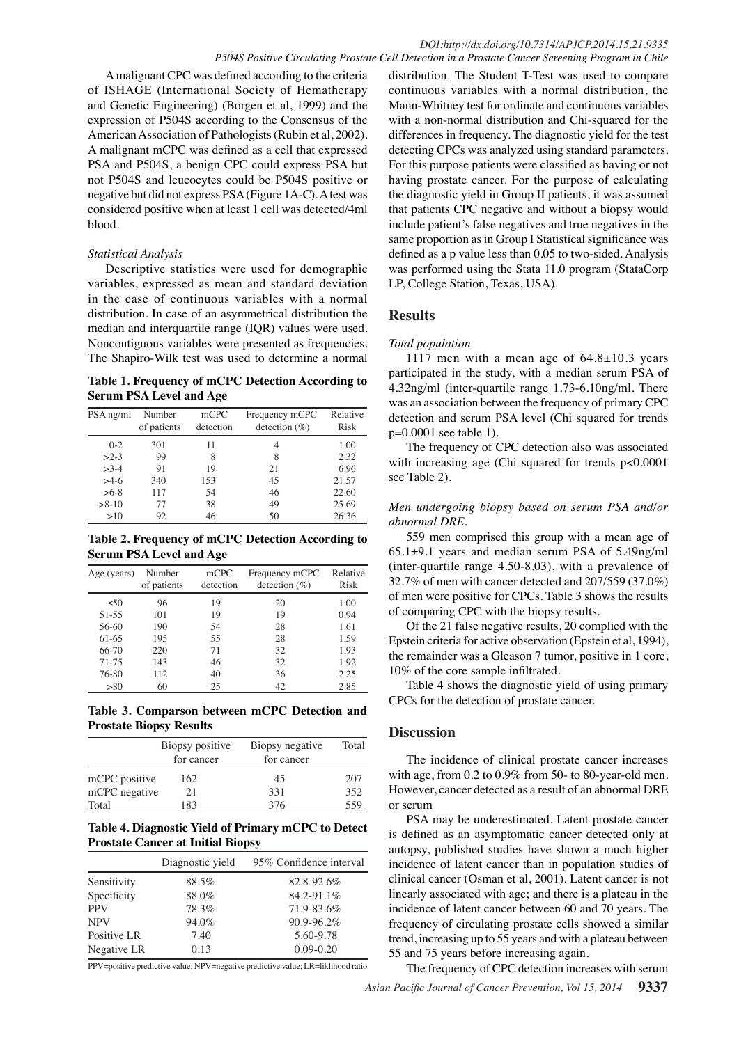A malignant CPC was defined according to the criteria of ISHAGE (International Society of Hematherapy and Genetic Engineering) (Borgen et al, 1999) and the expression of P504S according to the Consensus of the American Association of Pathologists (Rubin et al, 2002). A malignant mCPC was defined as a cell that expressed PSA and P504S, a benign CPC could express PSA but not P504S and leucocytes could be P504S positive or negative but did not express PSA (Figure 1A-C). A test was considered positive when at least 1 cell was detected/4ml blood.

#### *Statistical Analysis*

Descriptive statistics were used for demographic variables, expressed as mean and standard deviation in the case of continuous variables with a normal distribution. In case of an asymmetrical distribution the median and interquartile range (IQR) values were used. Noncontiguous variables were presented as frequencies. The Shapiro-Wilk test was used to determine a normal

**Table 1. Frequency of mCPC Detection According to Serum PSA Level and Age**

| PSA ng/ml | Number<br>of patients | mCPC<br>detection | Frequency mCPC<br>detection $(\%)$ | Relative<br><b>Risk</b> |
|-----------|-----------------------|-------------------|------------------------------------|-------------------------|
| $0 - 2$   | 301                   | 11                | 4                                  | 1.00                    |
| $>2-3$    | 99                    | 8                 | 8                                  | 2.32                    |
| $>3-4$    | 91                    | 19                | 21                                 | 6.96                    |
| $>4-6$    | 340                   | 153               | 45                                 | 21.57                   |
| $>6-8$    | 117                   | 54                | 46                                 | 22.60                   |
| $>8-10$   | 77                    | 38                | 49                                 | 25.69                   |
| >10       | 92                    | 46                | 50                                 | 26.36                   |

**Table 2. Frequency of mCPC Detection According to Serum PSA Level and Age**

| Age (years) | Number<br>of patients | mCPC<br>detection | Frequency mCPC<br>detection $(\%)$ | Relative<br>Risk |
|-------------|-----------------------|-------------------|------------------------------------|------------------|
| < 50        | 96                    | 19                | 20                                 | 1.00             |
| $51 - 55$   | 101                   | 19                | 19                                 | 0.94             |
| 56-60       | 190                   | 54                | 28                                 | 1.61             |
| $61-65$     | 195                   | 55                | 28                                 | 1.59             |
| 66-70       | 220                   | 71                | 32                                 | 1.93             |
| 71-75       | 143                   | 46                | 32                                 | 1.92             |
| 76-80       | 112                   | 40                | 36                                 | 2.25             |
| > 80        | 60                    | 25                | 42                                 | 2.85             |

**Table 3. Comparson between mCPC Detection and Prostate Biopsy Results**

|               | Biopsy positive<br>for cancer | Biopsy negative<br>for cancer | Total |
|---------------|-------------------------------|-------------------------------|-------|
| mCPC positive | 162                           | 45                            | 207   |
| mCPC negative | 21                            | 331                           | 352   |
| Total         | 183                           | 376                           | 559   |

## **Table 4. Diagnostic Yield of Primary mCPC to Detect Prostate Cancer at Initial Biopsy**

|             | Diagnostic yield | 95% Confidence interval |
|-------------|------------------|-------------------------|
| Sensitivity | 88.5%            | 82.8-92.6%              |
| Specificity | 88.0%            | 84.2-91.1%              |
| <b>PPV</b>  | 78.3%            | 71.9-83.6%              |
| <b>NPV</b>  | 94.0%            | $90.9 - 96.2\%$         |
| Positive LR | 7.40             | 5.60-9.78               |
| Negative LR | 0.13             | $0.09 - 0.20$           |

PPV=positive predictive value; NPV=negative predictive value; LR=liklihood ratio

distribution. The Student T-Test was used to compare continuous variables with a normal distribution, the Mann-Whitney test for ordinate and continuous variables with a non-normal distribution and Chi-squared for the differences in frequency. The diagnostic yield for the test detecting CPCs was analyzed using standard parameters. For this purpose patients were classified as having or not having prostate cancer. For the purpose of calculating the diagnostic yield in Group II patients, it was assumed that patients CPC negative and without a biopsy would include patient's false negatives and true negatives in the same proportion as in Group I Statistical significance was defined as a p value less than 0.05 to two-sided. Analysis was performed using the Stata 11.0 program (StataCorp LP, College Station, Texas, USA).

#### **Results**

#### *Total population*

1117 men with a mean age of  $64.8 \pm 10.3$  years participated in the study, with a median serum PSA of 4.32ng/ml (inter-quartile range 1.73-6.10ng/ml. There was an association between the frequency of primary CPC detection and serum PSA level (Chi squared for trends p=0.0001 see table 1).

The frequency of CPC detection also was associated with increasing age (Chi squared for trends p<0.0001 see Table 2).

## *Men undergoing biopsy based on serum PSA and/or abnormal DRE.*

559 men comprised this group with a mean age of 65.1±9.1 years and median serum PSA of 5.49ng/ml (inter-quartile range 4.50-8.03), with a prevalence of 32.7% of men with cancer detected and 207/559 (37.0%) of men were positive for CPCs. Table 3 shows the results of comparing CPC with the biopsy results.

Of the 21 false negative results, 20 complied with the Epstein criteria for active observation (Epstein et al, 1994), the remainder was a Gleason 7 tumor, positive in 1 core, 10% of the core sample infiltrated.

Table 4 shows the diagnostic yield of using primary CPCs for the detection of prostate cancer.

## **Discussion**

The incidence of clinical prostate cancer increases with age, from 0.2 to 0.9% from 50- to 80-year-old men. However, cancer detected as a result of an abnormal DRE or serum

PSA may be underestimated. Latent prostate cancer is defined as an asymptomatic cancer detected only at autopsy, published studies have shown a much higher incidence of latent cancer than in population studies of clinical cancer (Osman et al, 2001). Latent cancer is not linearly associated with age; and there is a plateau in the incidence of latent cancer between 60 and 70 years. The frequency of circulating prostate cells showed a similar trend, increasing up to 55 years and with a plateau between 55 and 75 years before increasing again.

The frequency of CPC detection increases with serum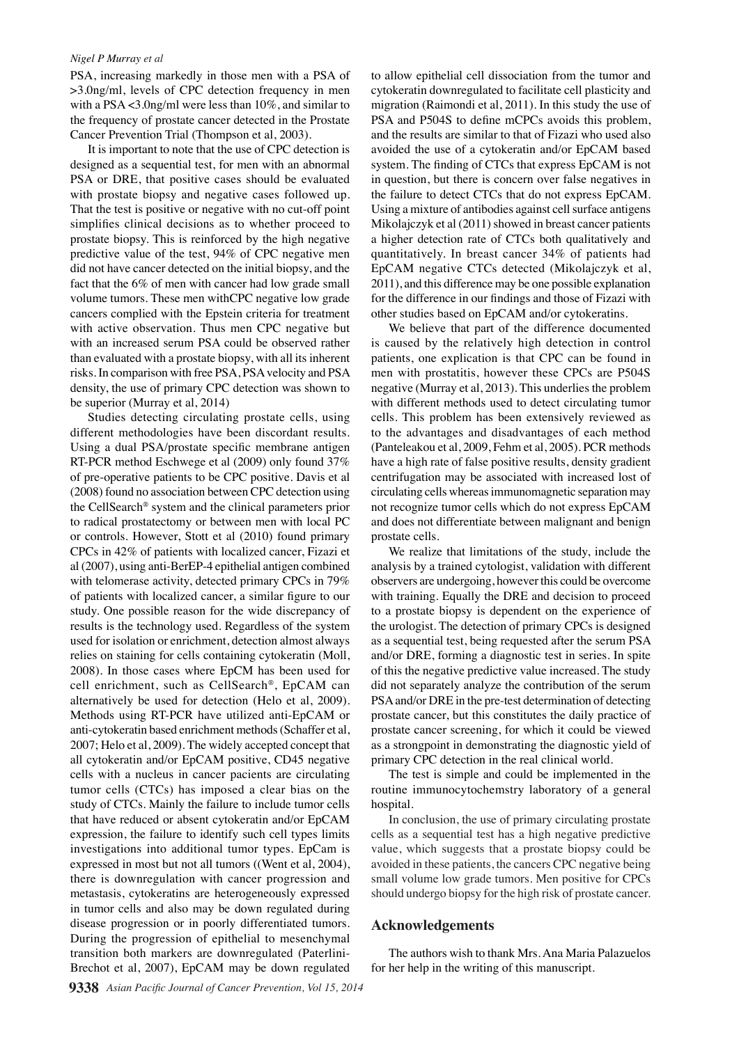#### *Nigel P Murray et al*

PSA, increasing markedly in those men with a PSA of >3.0ng/ml, levels of CPC detection frequency in men with a PSA <3.0ng/ml were less than 10%, and similar to the frequency of prostate cancer detected in the Prostate Cancer Prevention Trial (Thompson et al, 2003).

It is important to note that the use of CPC detection is designed as a sequential test, for men with an abnormal PSA or DRE, that positive cases should be evaluated with prostate biopsy and negative cases followed up. That the test is positive or negative with no cut-off point simplifies clinical decisions as to whether proceed to prostate biopsy. This is reinforced by the high negative predictive value of the test, 94% of CPC negative men did not have cancer detected on the initial biopsy, and the fact that the 6% of men with cancer had low grade small volume tumors. These men withCPC negative low grade cancers complied with the Epstein criteria for treatment with active observation. Thus men CPC negative but with an increased serum PSA could be observed rather than evaluated with a prostate biopsy, with all its inherent risks. In comparison with free PSA, PSA velocity and PSA density, the use of primary CPC detection was shown to be superior (Murray et al, 2014)

Studies detecting circulating prostate cells, using different methodologies have been discordant results. Using a dual PSA/prostate specific membrane antigen RT-PCR method Eschwege et al (2009) only found 37% of pre-operative patients to be CPC positive. Davis et al (2008) found no association between CPC detection using the CellSearch® system and the clinical parameters prior to radical prostatectomy or between men with local PC or controls. However, Stott et al (2010) found primary CPCs in 42% of patients with localized cancer, Fizazi et al (2007), using anti-BerEP-4 epithelial antigen combined with telomerase activity, detected primary CPCs in 79% of patients with localized cancer, a similar figure to our study. One possible reason for the wide discrepancy of results is the technology used. Regardless of the system used for isolation or enrichment, detection almost always relies on staining for cells containing cytokeratin (Moll, 2008). In those cases where EpCM has been used for cell enrichment, such as CellSearch®, EpCAM can alternatively be used for detection (Helo et al, 2009). Methods using RT-PCR have utilized anti-EpCAM or anti-cytokeratin based enrichment methods (Schaffer et al, 2007; Helo et al, 2009). The widely accepted concept that all cytokeratin and/or EpCAM positive, CD45 negative cells with a nucleus in cancer pacients are circulating tumor cells (CTCs) has imposed a clear bias on the study of CTCs. Mainly the failure to include tumor cells that have reduced or absent cytokeratin and/or EpCAM expression, the failure to identify such cell types limits investigations into additional tumor types. EpCam is expressed in most but not all tumors ((Went et al, 2004), there is downregulation with cancer progression and metastasis, cytokeratins are heterogeneously expressed in tumor cells and also may be down regulated during disease progression or in poorly differentiated tumors. During the progression of epithelial to mesenchymal transition both markers are downregulated (Paterlini-Brechot et al, 2007), EpCAM may be down regulated

to allow epithelial cell dissociation from the tumor and cytokeratin downregulated to facilitate cell plasticity and migration (Raimondi et al, 2011). In this study the use of PSA and P504S to define mCPCs avoids this problem, and the results are similar to that of Fizazi who used also avoided the use of a cytokeratin and/or EpCAM based system. The finding of CTCs that express EpCAM is not in question, but there is concern over false negatives in the failure to detect CTCs that do not express EpCAM. Using a mixture of antibodies against cell surface antigens Mikolajczyk et al (2011) showed in breast cancer patients a higher detection rate of CTCs both qualitatively and quantitatively. In breast cancer 34% of patients had EpCAM negative CTCs detected (Mikolajczyk et al, 2011), and this difference may be one possible explanation for the difference in our findings and those of Fizazi with other studies based on EpCAM and/or cytokeratins.

We believe that part of the difference documented is caused by the relatively high detection in control patients, one explication is that CPC can be found in men with prostatitis, however these CPCs are P504S negative (Murray et al, 2013). This underlies the problem with different methods used to detect circulating tumor cells. This problem has been extensively reviewed as to the advantages and disadvantages of each method (Panteleakou et al, 2009, Fehm et al, 2005). PCR methods have a high rate of false positive results, density gradient centrifugation may be associated with increased lost of circulating cells whereas immunomagnetic separation may not recognize tumor cells which do not express EpCAM and does not differentiate between malignant and benign prostate cells.

We realize that limitations of the study, include the analysis by a trained cytologist, validation with different observers are undergoing, however this could be overcome with training. Equally the DRE and decision to proceed to a prostate biopsy is dependent on the experience of the urologist. The detection of primary CPCs is designed as a sequential test, being requested after the serum PSA and/or DRE, forming a diagnostic test in series. In spite of this the negative predictive value increased. The study did not separately analyze the contribution of the serum PSA and/or DRE in the pre-test determination of detecting prostate cancer, but this constitutes the daily practice of prostate cancer screening, for which it could be viewed as a strongpoint in demonstrating the diagnostic yield of primary CPC detection in the real clinical world.

The test is simple and could be implemented in the routine immunocytochemstry laboratory of a general hospital.

In conclusion, the use of primary circulating prostate cells as a sequential test has a high negative predictive value, which suggests that a prostate biopsy could be avoided in these patients, the cancers CPC negative being small volume low grade tumors. Men positive for CPCs should undergo biopsy for the high risk of prostate cancer.

## **Acknowledgements**

The authors wish to thank Mrs. Ana Maria Palazuelos for her help in the writing of this manuscript.